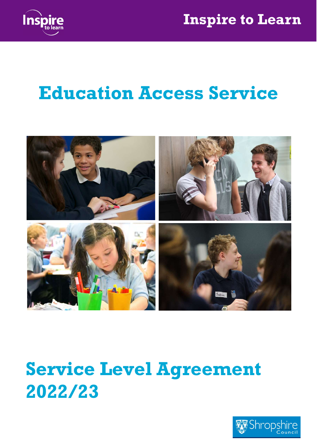

## Education Access Service



# Service Level Agreement 2022/23

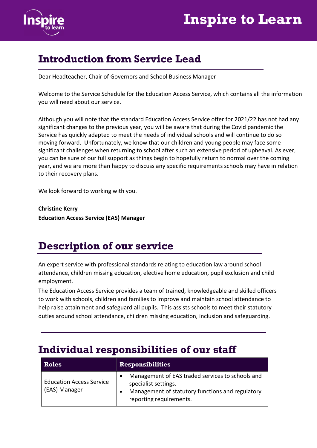

#### Introduction from Service Lead

Dear Headteacher, Chair of Governors and School Business Manager

Welcome to the Service Schedule for the Education Access Service, which contains all the information you will need about our service.

Although you will note that the standard Education Access Service offer for 2021/22 has not had any significant changes to the previous year, you will be aware that during the Covid pandemic the Service has quickly adapted to meet the needs of individual schools and will continue to do so moving forward. Unfortunately, we know that our children and young people may face some significant challenges when returning to school after such an extensive period of upheaval. As ever, you can be sure of our full support as things begin to hopefully return to normal over the coming year, and we are more than happy to discuss any specific requirements schools may have in relation to their recovery plans.

We look forward to working with you.

Christine Kerry Education Access Service (EAS) Manager

### Description of our service

An expert service with professional standards relating to education law around school attendance, children missing education, elective home education, pupil exclusion and child employment.

The Education Access Service provides a team of trained, knowledgeable and skilled officers to work with schools, children and families to improve and maintain school attendance to help raise attainment and safeguard all pupils. This assists schools to meet their statutory duties around school attendance, children missing education, inclusion and safeguarding.

| <b>Roles</b>                                     | <b>Responsibilities</b>                                                                                                                                 |  |
|--------------------------------------------------|---------------------------------------------------------------------------------------------------------------------------------------------------------|--|
| <b>Education Access Service</b><br>(EAS) Manager | Management of EAS traded services to schools and<br>specialist settings.<br>Management of statutory functions and regulatory<br>reporting requirements. |  |

#### Individual responsibilities of our staff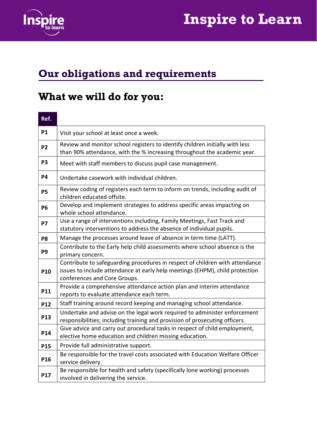



### Our obligations and requirements

#### What we will do for you:

| Ref.            |                                                                                                                                                                                              |  |  |
|-----------------|----------------------------------------------------------------------------------------------------------------------------------------------------------------------------------------------|--|--|
| <b>P1</b>       | Visit your school at least once a week.                                                                                                                                                      |  |  |
| P <sub>2</sub>  | Review and monitor school registers to identify children initially with less<br>than 90% attendance, with the % increasing throughout the academic year.                                     |  |  |
| P <sub>3</sub>  | Meet with staff members to discuss pupil case management.                                                                                                                                    |  |  |
| P4              | Undertake casework with individual children.                                                                                                                                                 |  |  |
| <b>P5</b>       | Review coding of registers each term to inform on trends, including audit of<br>children educated offsite.                                                                                   |  |  |
| <b>P6</b>       | Develop and implement strategies to address specific areas impacting on<br>whole school attendance.                                                                                          |  |  |
| <b>P7</b>       | Use a range of interventions including, Family Meetings, Fast Track and<br>statutory interventions to address the absence of individual pupils.                                              |  |  |
| P <sub>8</sub>  | Manage the processes around leave of absence in term time (LATT).                                                                                                                            |  |  |
| P <sub>9</sub>  | Contribute to the Early help child assessments where school absence is the<br>primary concern.                                                                                               |  |  |
| P10             | Contribute to safeguarding procedures in respect of children with attendance<br>issues to include attendance at early help meetings (EHPM), child protection<br>conferences and Core Groups. |  |  |
| P11             | Provide a comprehensive attendance action plan and interim attendance<br>reports to evaluate attendance each term.                                                                           |  |  |
| P12             | Staff training around record keeping and managing school attendance.                                                                                                                         |  |  |
| P13             | Undertake and advise on the legal work required to administer enforcement<br>responsibilities; including training and provision of prosecuting officers.                                     |  |  |
| P14             | Give advice and carry out procedural tasks in respect of child employment,<br>elective home education and children missing education.                                                        |  |  |
| P15             | Provide full administrative support.                                                                                                                                                         |  |  |
| P <sub>16</sub> | Be responsible for the travel costs associated with Education Welfare Officer<br>service delivery.                                                                                           |  |  |
| P17             | Be responsible for health and safety (specifically lone working) processes<br>involved in delivering the service.                                                                            |  |  |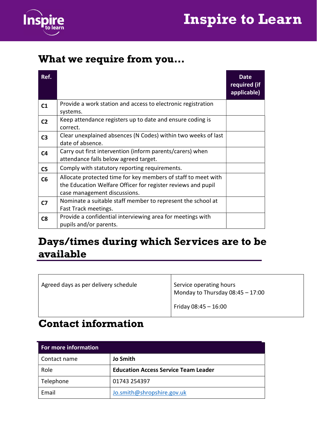



#### What we require from you…

| Ref.           |                                                                                                                                                               | <b>Date</b><br>required (if<br>applicable) |
|----------------|---------------------------------------------------------------------------------------------------------------------------------------------------------------|--------------------------------------------|
| C1             | Provide a work station and access to electronic registration<br>systems.                                                                                      |                                            |
| C <sub>2</sub> | Keep attendance registers up to date and ensure coding is<br>correct.                                                                                         |                                            |
| C <sub>3</sub> | Clear unexplained absences (N Codes) within two weeks of last<br>date of absence.                                                                             |                                            |
| C <sub>4</sub> | Carry out first intervention (inform parents/carers) when<br>attendance falls below agreed target.                                                            |                                            |
| C <sub>5</sub> | Comply with statutory reporting requirements.                                                                                                                 |                                            |
| C6             | Allocate protected time for key members of staff to meet with<br>the Education Welfare Officer for register reviews and pupil<br>case management discussions. |                                            |
| C <sub>7</sub> | Nominate a suitable staff member to represent the school at<br>Fast Track meetings.                                                                           |                                            |
| C8             | Provide a confidential interviewing area for meetings with<br>pupils and/or parents.                                                                          |                                            |

#### Days/times during which Services are to be available

| Agreed days as per delivery schedule | Service operating hours<br>Monday to Thursday $08:45 - 17:00$ |
|--------------------------------------|---------------------------------------------------------------|
|                                      | Friday $08:45 - 16:00$                                        |

#### Contact information

| For more information |                                             |  |
|----------------------|---------------------------------------------|--|
| Contact name         | <b>Jo Smith</b>                             |  |
| Role                 | <b>Education Access Service Team Leader</b> |  |
| Telephone            | 01743 254397                                |  |
| Email                | Jo.smith@shropshire.gov.uk                  |  |